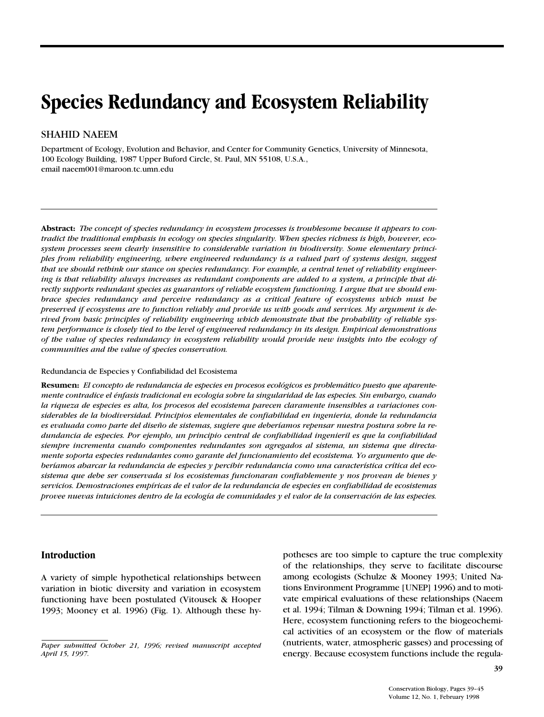# **Species Redundancy and Ecosystem Reliability**

## SHAHID NAEEM

Department of Ecology, Evolution and Behavior, and Center for Community Genetics, University of Minnesota, 100 Ecology Building, 1987 Upper Buford Circle, St. Paul, MN 55108, U.S.A., email naeem001@maroon.tc.umn.edu

**Abstract:** *The concept of species redundancy in ecosystem processes is troublesome because it appears to contradict the traditional emphasis in ecology on species singularity. When species richness is high, however, ecosystem processes seem clearly insensitive to considerable variation in biodiversity. Some elementary principles from reliability engineering, where engineered redundancy is a valued part of systems design, suggest that we should rethink our stance on species redundancy. For example, a central tenet of reliability engineering is that reliability always increases as redundant components are added to a system, a principle that directly supports redundant species as guarantors of reliable ecosystem functioning. I argue that we should embrace species redundancy and perceive redundancy as a critical feature of ecosystems which must be preserved if ecosystems are to function reliably and provide us with goods and services. My argument is derived from basic principles of reliability engineering which demonstrate that the probability of reliable system performance is closely tied to the level of engineered redundancy in its design. Empirical demonstrations of the value of species redundancy in ecosystem reliability would provide new insights into the ecology of communities and the value of species conservation.*

#### Redundancia de Especies y Confiabilidad del Ecosistema

**Resumen:** *El concepto de redundancia de especies en procesos ecológicos es problemático puesto que aparentemente contradice el énfasis tradicional en ecologia sobre la singularidad de las especies. Sin embargo, cuando la riqueza de especies es alta, los procesos del ecosistema parecen claramente insensibles a variaciones considerables de la biodiversidad. Principios elementales de confiabilidad en ingenieria, donde la redundancia es evaluada como parte del diseño de sistemas, sugiere que deberíamos repensar nuestra postura sobre la redundancia de especies. Por ejemplo, un principio central de confiabilidad ingenieril es que la confiabilidad siempre incrementa cuando componentes redundantes son agregados al sistema, un sistema que directamente soporta especies redundantes como garante del funcionamiento del ecosistema. Yo argumento que deberíamos abarcar la redundancia de especies y percibir redundancia como una característica crítica del ecosistema que debe ser conservada si los ecosistemas funcionaran confiablemente y nos provean de bienes y servicios. Demostraciones empíricas de el valor de la redundancia de especies en confiabilidad de ecosistemas provee nuevas intuiciones dentro de la ecología de comunidades y el valor de la conservación de las especies.*

### **Introduction**

A variety of simple hypothetical relationships between variation in biotic diversity and variation in ecosystem functioning have been postulated (Vitousek & Hooper 1993; Mooney et al. 1996) (Fig. 1). Although these hypotheses are too simple to capture the true complexity of the relationships, they serve to facilitate discourse among ecologists (Schulze & Mooney 1993; United Nations Environment Programme [UNEP] 1996) and to motivate empirical evaluations of these relationships (Naeem et al. 1994; Tilman & Downing 1994; Tilman et al. 1996). Here, ecosystem functioning refers to the biogeochemical activities of an ecosystem or the flow of materials (nutrients, water, atmospheric gasses) and processing of energy. Because ecosystem functions include the regula-

*Paper submitted October 21, 1996; revised manuscript accepted April 15, 1997.*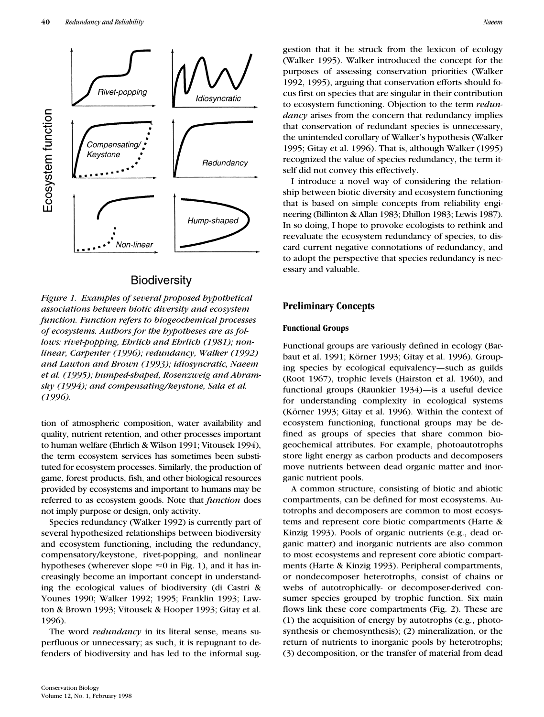

## Biodiversity

*Figure 1. Examples of several proposed hypothetical associations between biotic diversity and ecosystem function. Function refers to biogeochemical processes of ecosystems. Authors for the hypotheses are as follows: rivet-popping, Ehrlich and Ehrlich (1981); nonlinear, Carpenter (1996); redundancy, Walker (1992) and Lawton and Brown (1993); idiosyncratic, Naeem et al. (1995); humped-shaped, Rosenzweig and Abramsky (1994); and compensating/keystone, Sala et al. (1996).*

tion of atmospheric composition, water availability and quality, nutrient retention, and other processes important to human welfare (Ehrlich & Wilson 1991; Vitousek 1994), the term ecosystem services has sometimes been substituted for ecosystem processes. Similarly, the production of game, forest products, fish, and other biological resources provided by ecosystems and important to humans may be referred to as ecosystem goods. Note that *function* does not imply purpose or design, only activity.

Species redundancy (Walker 1992) is currently part of several hypothesized relationships between biodiversity and ecosystem functioning, including the redundancy, compensatory/keystone, rivet-popping, and nonlinear hypotheses (wherever slope  $\approx 0$  in Fig. 1), and it has increasingly become an important concept in understanding the ecological values of biodiversity (di Castri & Younes 1990; Walker 1992; 1995; Franklin 1993; Lawton & Brown 1993; Vitousek & Hooper 1993; Gitay et al. 1996).

The word *redundancy* in its literal sense, means superfluous or unnecessary; as such, it is repugnant to defenders of biodiversity and has led to the informal suggestion that it be struck from the lexicon of ecology (Walker 1995). Walker introduced the concept for the purposes of assessing conservation priorities (Walker 1992, 1995), arguing that conservation efforts should focus first on species that are singular in their contribution to ecosystem functioning. Objection to the term *redundancy* arises from the concern that redundancy implies that conservation of redundant species is unnecessary, the unintended corollary of Walker's hypothesis (Walker 1995; Gitay et al. 1996). That is, although Walker (1995) recognized the value of species redundancy, the term itself did not convey this effectively.

I introduce a novel way of considering the relationship between biotic diversity and ecosystem functioning that is based on simple concepts from reliability engineering (Billinton & Allan 1983; Dhillon 1983; Lewis 1987). In so doing, I hope to provoke ecologists to rethink and reevaluate the ecosystem redundancy of species, to discard current negative connotations of redundancy, and to adopt the perspective that species redundancy is necessary and valuable.

## **Preliminary Concepts**

#### **Functional Groups**

Functional groups are variously defined in ecology (Barbaut et al. 1991; Körner 1993; Gitay et al. 1996). Grouping species by ecological equivalency—such as guilds (Root 1967), trophic levels (Hairston et al. 1960), and functional groups (Raunkier 1934)—is a useful device for understanding complexity in ecological systems (Körner 1993; Gitay et al. 1996). Within the context of ecosystem functioning, functional groups may be defined as groups of species that share common biogeochemical attributes. For example, photoautotrophs store light energy as carbon products and decomposers move nutrients between dead organic matter and inorganic nutrient pools.

A common structure, consisting of biotic and abiotic compartments, can be defined for most ecosystems. Autotrophs and decomposers are common to most ecosystems and represent core biotic compartments (Harte & Kinzig 1993). Pools of organic nutrients (e.g., dead organic matter) and inorganic nutrients are also common to most ecosystems and represent core abiotic compartments (Harte & Kinzig 1993). Peripheral compartments, or nondecomposer heterotrophs, consist of chains or webs of autotrophically- or decomposer-derived consumer species grouped by trophic function. Six main flows link these core compartments (Fig. 2). These are (1) the acquisition of energy by autotrophs (e.g., photosynthesis or chemosynthesis); (2) mineralization, or the return of nutrients to inorganic pools by heterotrophs; (3) decomposition, or the transfer of material from dead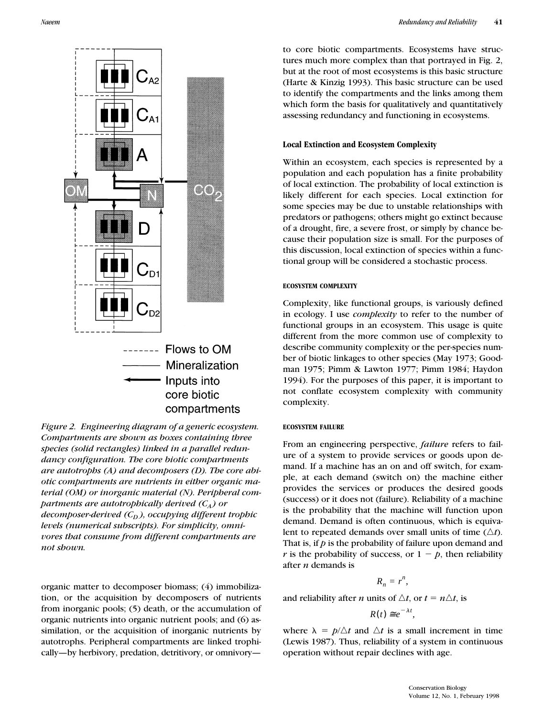

*Figure 2. Engineering diagram of a generic ecosystem. Compartments are shown as boxes containing three species (solid rectangles) linked in a parallel redundancy configuration. The core biotic compartments are autotrophs (A) and decomposers (D). The core abiotic compartments are nutrients in either organic material (OM) or inorganic material (N). Peripheral compartments are autotrophically derived*  $(C_A)$  or *decomposer-derived*  $(C_D)$ , occupying different trophic *levels (numerical subscripts). For simplicity, omnivores that consume from different compartments are not shown.*

organic matter to decomposer biomass; (4) immobilization, or the acquisition by decomposers of nutrients from inorganic pools; (5) death, or the accumulation of organic nutrients into organic nutrient pools; and (6) assimilation, or the acquisition of inorganic nutrients by autotrophs. Peripheral compartments are linked trophically—by herbivory, predation, detritivory, or omnivoryto core biotic compartments. Ecosystems have structures much more complex than that portrayed in Fig. 2, but at the root of most ecosystems is this basic structure (Harte & Kinzig 1993). This basic structure can be used to identify the compartments and the links among them which form the basis for qualitatively and quantitatively assessing redundancy and functioning in ecosystems.

#### **Local Extinction and Ecosystem Complexity**

Within an ecosystem, each species is represented by a population and each population has a finite probability of local extinction. The probability of local extinction is likely different for each species. Local extinction for some species may be due to unstable relationships with predators or pathogens; others might go extinct because of a drought, fire, a severe frost, or simply by chance because their population size is small. For the purposes of this discussion, local extinction of species within a functional group will be considered a stochastic process.

#### **ECOSYSTEM COMPLEXITY**

Complexity, like functional groups, is variously defined in ecology. I use *complexity* to refer to the number of functional groups in an ecosystem. This usage is quite different from the more common use of complexity to describe community complexity or the per-species number of biotic linkages to other species (May 1973; Goodman 1975; Pimm & Lawton 1977; Pimm 1984; Haydon 1994). For the purposes of this paper, it is important to not conflate ecosystem complexity with community complexity.

#### **ECOSYSTEM FAILURE**

From an engineering perspective, *failure* refers to failure of a system to provide services or goods upon demand. If a machine has an on and off switch, for example, at each demand (switch on) the machine either provides the services or produces the desired goods (success) or it does not (failure). Reliability of a machine is the probability that the machine will function upon demand. Demand is often continuous, which is equivalent to repeated demands over small units of time  $(\triangle t)$ . That is, if *p* is the probability of failure upon demand and *r* is the probability of success, or  $1 - p$ , then reliability after *n* demands is

$$
R_n=r^n,
$$

and reliability after *n* units of  $\Delta t$ , or  $t = n \Delta t$ , is

$$
R(t) \cong e^{-\lambda t},
$$

where  $\lambda = p/\Delta t$  and  $\Delta t$  is a small increment in time (Lewis 1987). Thus, reliability of a system in continuous operation without repair declines with age.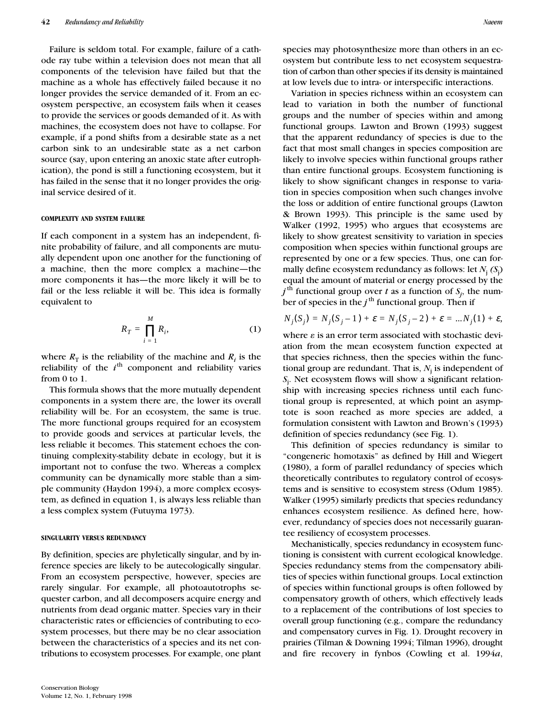Failure is seldom total. For example, failure of a cathode ray tube within a television does not mean that all components of the television have failed but that the machine as a whole has effectively failed because it no longer provides the service demanded of it. From an ecosystem perspective, an ecosystem fails when it ceases to provide the services or goods demanded of it. As with machines, the ecosystem does not have to collapse. For example, if a pond shifts from a desirable state as a net carbon sink to an undesirable state as a net carbon source (say, upon entering an anoxic state after eutrophication), the pond is still a functioning ecosystem, but it has failed in the sense that it no longer provides the original service desired of it.

#### **COMPLEXITY AND SYSTEM FAILURE**

If each component in a system has an independent, finite probability of failure, and all components are mutually dependent upon one another for the functioning of a machine, then the more complex a machine—the more components it has—the more likely it will be to fail or the less reliable it will be. This idea is formally equivalent to

$$
R_T = \prod_{i=1}^{M} R_i, \tag{1}
$$

where  $R_{\text{T}}$  is the reliability of the machine and  $R_i$  is the reliability of the  $i<sup>th</sup>$  component and reliability varies from 0 to 1.

This formula shows that the more mutually dependent components in a system there are, the lower its overall reliability will be. For an ecosystem, the same is true. The more functional groups required for an ecosystem to provide goods and services at particular levels, the less reliable it becomes. This statement echoes the continuing complexity-stability debate in ecology, but it is important not to confuse the two. Whereas a complex community can be dynamically more stable than a simple community (Haydon 1994), a more complex ecosystem, as defined in equation 1, is always less reliable than a less complex system (Futuyma 1973).

#### **SINGULARITY VERSUS REDUNDANCY**

By definition, species are phyletically singular, and by inference species are likely to be autecologically singular. From an ecosystem perspective, however, species are rarely singular. For example, all photoautotrophs sequester carbon, and all decomposers acquire energy and nutrients from dead organic matter. Species vary in their characteristic rates or efficiencies of contributing to ecosystem processes, but there may be no clear association between the characteristics of a species and its net contributions to ecosystem processes. For example, one plant species may photosynthesize more than others in an ecosystem but contribute less to net ecosystem sequestration of carbon than other species if its density is maintained at low levels due to intra- or interspecific interactions.

Variation in species richness within an ecosystem can lead to variation in both the number of functional groups and the number of species within and among functional groups. Lawton and Brown (1993) suggest that the apparent redundancy of species is due to the fact that most small changes in species composition are likely to involve species within functional groups rather than entire functional groups. Ecosystem functioning is likely to show significant changes in response to variation in species composition when such changes involve the loss or addition of entire functional groups (Lawton & Brown 1993). This principle is the same used by Walker (1992, 1995) who argues that ecosystems are likely to show greatest sensitivity to variation in species composition when species within functional groups are represented by one or a few species. Thus, one can formally define ecosystem redundancy as follows: let *N*<sup>j</sup> *(S*<sup>j</sup> ) equal the amount of material or energy processed by the  $j^{\text{th}}$  functional group over *t* as a function of  $S_j$ , the number of species in the  $j^{\text{th}}$  functional group. Then if

$$
N_j(S_j) = N_j(S_j - 1) + \varepsilon = N_j(S_j - 2) + \varepsilon = ... N_j(1) + \varepsilon,
$$

where  $\varepsilon$  is an error term associated with stochastic deviation from the mean ecosystem function expected at that species richness, then the species within the functional group are redundant. That is,  $N_{\rm j}$  is independent of *S*j . Net ecosystem flows will show a significant relationship with increasing species richness until each functional group is represented, at which point an asymptote is soon reached as more species are added, a formulation consistent with Lawton and Brown's (1993) definition of species redundancy (see Fig. 1).

This definition of species redundancy is similar to "congeneric homotaxis" as defined by Hill and Wiegert (1980), a form of parallel redundancy of species which theoretically contributes to regulatory control of ecosystems and is sensitive to ecosystem stress (Odum 1985). Walker (1995) similarly predicts that species redundancy enhances ecosystem resilience. As defined here, however, redundancy of species does not necessarily guarantee resiliency of ecosystem processes.

Mechanistically, species redundancy in ecosystem functioning is consistent with current ecological knowledge. Species redundancy stems from the compensatory abilities of species within functional groups. Local extinction of species within functional groups is often followed by compensatory growth of others, which effectively leads to a replacement of the contributions of lost species to overall group functioning (e.g., compare the redundancy and compensatory curves in Fig. 1). Drought recovery in prairies (Tilman & Downing 1994; Tilman 1996), drought and fire recovery in fynbos (Cowling et al. 1994*a*,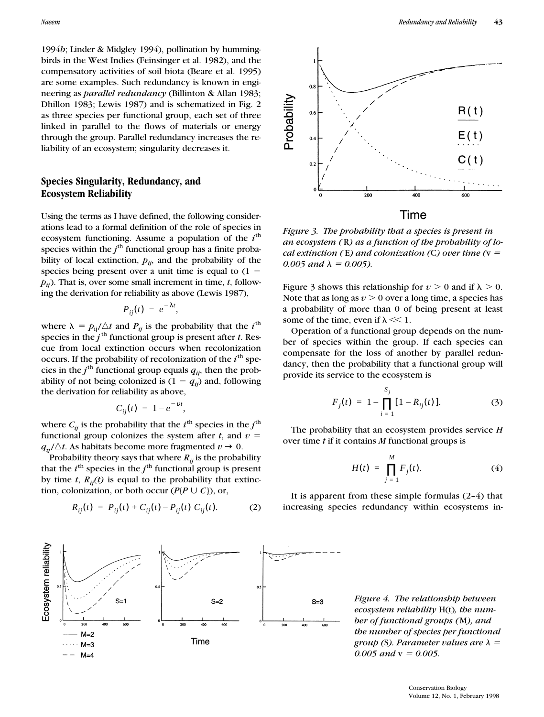1994*b*; Linder & Midgley 1994), pollination by hummingbirds in the West Indies (Feinsinger et al. 1982), and the compensatory activities of soil biota (Beare et al. 1995) are some examples. Such redundancy is known in engineering as *parallel redundancy* (Billinton & Allan 1983; Dhillon 1983; Lewis 1987) and is schematized in Fig. 2 as three species per functional group, each set of three linked in parallel to the flows of materials or energy through the group. Parallel redundancy increases the reliability of an ecosystem; singularity decreases it.

## **Species Singularity, Redundancy, and Ecosystem Reliability**

Using the terms as I have defined, the following considerations lead to a formal definition of the role of species in ecosystem functioning. Assume a population of the  $i<sup>th</sup>$ species within the  $j^{\text{th}}$  functional group has a finite probability of local extinction,  $p_{ij}$ , and the probability of the species being present over a unit time is equal to  $(1$  $p_{ij}$ ). That is, over some small increment in time,  $t$ , following the derivation for reliability as above (Lewis 1987),

$$
P_{ij}(t) = e^{-\lambda t},
$$

where  $\lambda = p_{ij}/\Delta t$  and  $P_{ij}$  is the probability that the *i*<sup>th</sup> species in the  $j<sup>th</sup>$  functional group is present after *t*. Rescue from local extinction occurs when recolonization occurs. If the probability of recolonization of the *i*<sup>th</sup> species in the  $j^{\text{th}}$  functional group equals  $q_{ij}$ , then the probability of not being colonized is  $(1 - q_{ii})$  and, following the derivation for reliability as above,

$$
C_{ij}(t) = 1 - e^{-\nu t},
$$

where  $C_{ij}$  is the probability that the  $i^{\text{th}}$  species in the  $j^{\text{th}}$ functional group colonizes the system after  $t$ , and  $v =$  $q_{ii}/\Delta t$ . As habitats become more fragmented  $v \to 0$ .

Probability theory says that where  $R_{ij}$  is the probability that the  $i^{\text{th}}$  species in the  $j^{\text{th}}$  functional group is present by time  $t$ ,  $R_{ii}(t)$  is equal to the probability that extinction, colonization, or both occur ( $P$ { $P \cup C$ }), or,

$$
R_{ij}(t) = P_{ij}(t) + C_{ij}(t) - P_{ij}(t) C_{ij}(t).
$$
 (2)



*Figure 3. The probability that a species is present in an ecosystem (* R*) as a function of the probability of local extinction (E) and colonization (C) over time (v =*  $\frac{1}{2}$ *0.005 and*  $\lambda = 0.005$ .

Figure 3 shows this relationship for  $v > 0$  and if  $\lambda > 0$ . Note that as long as  $v > 0$  over a long time, a species has a probability of more than 0 of being present at least some of the time, even if  $\lambda \ll 1$ .

Operation of a functional group depends on the number of species within the group. If each species can compensate for the loss of another by parallel redundancy, then the probability that a functional group will provide its service to the ecosystem is

$$
F_j(t) = 1 - \prod_{i=1}^{S_j} [1 - R_{ij}(t)].
$$
 (3)

The probability that an ecosystem provides service *H* over time *t* if it contains *M* functional groups is

$$
H(t) = \prod_{j=1}^{M} F_j(t). \tag{4}
$$

It is apparent from these simple formulas (2–4) that increasing species redundancy within ecosystems in-



*Figure 4. The relationship between ecosystem reliability* H(t)*, the number of functional groups (*M*), and the number of species per functional group* (S). Parameter values are  $\lambda =$  $0.005$  and  $v = 0.005$ .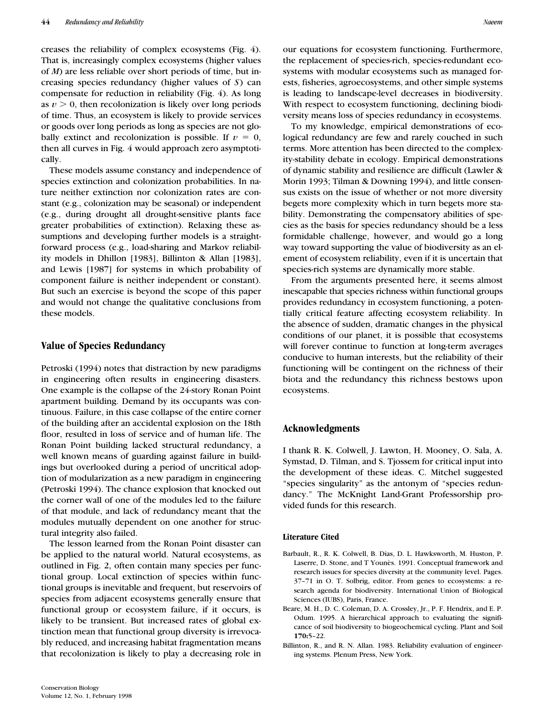creases the reliability of complex ecosystems (Fig. 4). That is, increasingly complex ecosystems (higher values of *M*) are less reliable over short periods of time, but increasing species redundancy (higher values of *S*) can compensate for reduction in reliability (Fig. 4). As long as  $v > 0$ , then recolonization is likely over long periods of time. Thus, an ecosystem is likely to provide services or goods over long periods as long as species are not globally extinct and recolonization is possible. If  $v = 0$ , then all curves in Fig. 4 would approach zero asymptotically.

These models assume constancy and independence of species extinction and colonization probabilities. In nature neither extinction nor colonization rates are constant (e.g., colonization may be seasonal) or independent (e.g., during drought all drought-sensitive plants face greater probabilities of extinction). Relaxing these assumptions and developing further models is a straightforward process (e.g., load-sharing and Markov reliability models in Dhillon [1983], Billinton & Allan [1983], and Lewis [1987] for systems in which probability of component failure is neither independent or constant). But such an exercise is beyond the scope of this paper and would not change the qualitative conclusions from these models.

## **Value of Species Redundancy**

Petroski (1994) notes that distraction by new paradigms in engineering often results in engineering disasters. One example is the collapse of the 24-story Ronan Point apartment building. Demand by its occupants was continuous. Failure, in this case collapse of the entire corner of the building after an accidental explosion on the 18th floor, resulted in loss of service and of human life. The Ronan Point building lacked structural redundancy, a well known means of guarding against failure in buildings but overlooked during a period of uncritical adoption of modularization as a new paradigm in engineering (Petroski 1994). The chance explosion that knocked out the corner wall of one of the modules led to the failure of that module, and lack of redundancy meant that the modules mutually dependent on one another for structural integrity also failed.

The lesson learned from the Ronan Point disaster can be applied to the natural world. Natural ecosystems, as outlined in Fig. 2, often contain many species per functional group. Local extinction of species within functional groups is inevitable and frequent, but reservoirs of species from adjacent ecosystems generally ensure that functional group or ecosystem failure, if it occurs, is likely to be transient. But increased rates of global extinction mean that functional group diversity is irrevocably reduced, and increasing habitat fragmentation means that recolonization is likely to play a decreasing role in

our equations for ecosystem functioning. Furthermore, the replacement of species-rich, species-redundant ecosystems with modular ecosystems such as managed forests, fisheries, agroecosystems, and other simple systems is leading to landscape-level decreases in biodiversity. With respect to ecosystem functioning, declining biodiversity means loss of species redundancy in ecosystems.

To my knowledge, empirical demonstrations of ecological redundancy are few and rarely couched in such terms. More attention has been directed to the complexity-stability debate in ecology. Empirical demonstrations of dynamic stability and resilience are difficult (Lawler & Morin 1993; Tilman & Downing 1994), and little consensus exists on the issue of whether or not more diversity begets more complexity which in turn begets more stability. Demonstrating the compensatory abilities of species as the basis for species redundancy should be a less formidable challenge, however, and would go a long way toward supporting the value of biodiversity as an element of ecosystem reliability, even if it is uncertain that species-rich systems are dynamically more stable.

From the arguments presented here, it seems almost inescapable that species richness within functional groups provides redundancy in ecosystem functioning, a potentially critical feature affecting ecosystem reliability. In the absence of sudden, dramatic changes in the physical conditions of our planet, it is possible that ecosystems will forever continue to function at long-term averages conducive to human interests, but the reliability of their functioning will be contingent on the richness of their biota and the redundancy this richness bestows upon ecosystems.

## **Acknowledgments**

I thank R. K. Colwell, J. Lawton, H. Mooney, O. Sala, A. Symstad, D. Tilman, and S. Tjossem for critical input into the development of these ideas. C. Mitchel suggested "species singularity" as the antonym of "species redundancy." The McKnight Land-Grant Professorship provided funds for this research.

#### **Literature Cited**

- Barbault, R., R. K. Colwell, B. Dias, D. L. Hawksworth, M. Huston, P. Laserre, D. Stone, and T Younès. 1991. Conceptual framework and research issues for species diversity at the community level. Pages. 37–71 in O. T. Solbrig, editor. From genes to ecosystems: a research agenda for biodiversity. International Union of Biological Sciences (IUBS), Paris, France.
- Beare, M. H., D. C. Coleman, D. A. Crossley, Jr., P. F. Hendrix, and E. P. Odum. 1995. A hierarchical approach to evaluating the significance of soil biodiversity to biogeochemical cycling. Plant and Soil **170:**5–22.
- Billinton, R., and R. N. Allan. 1983. Reliability evaluation of engineering systems. Plenum Press, New York.